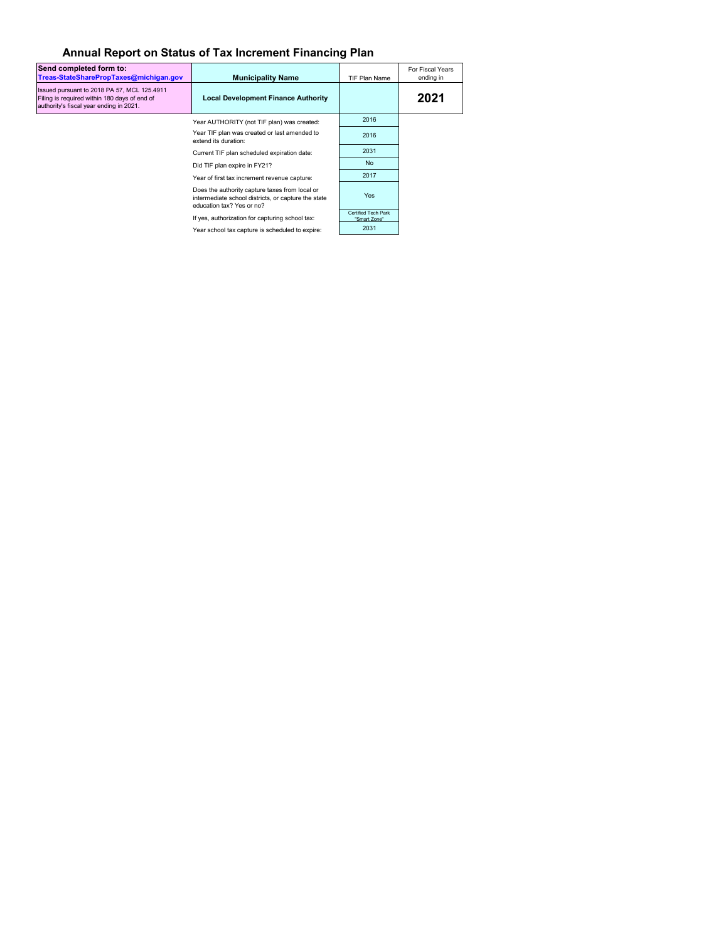## **Annual Report on Status of Tax Increment Financing Plan**

| Send completed form to:<br>Treas-StateSharePropTaxes@michigan.gov                                                                      | <b>Municipality Name</b>                                                                                                           | TIF Plan Name                       | For Fiscal Years<br>ending in |
|----------------------------------------------------------------------------------------------------------------------------------------|------------------------------------------------------------------------------------------------------------------------------------|-------------------------------------|-------------------------------|
| Issued pursuant to 2018 PA 57, MCL 125.4911<br>Filing is required within 180 days of end of<br>authority's fiscal year ending in 2021. | <b>Local Development Finance Authority</b>                                                                                         |                                     | 2021                          |
|                                                                                                                                        | Year AUTHORITY (not TIF plan) was created:                                                                                         | 2016                                |                               |
|                                                                                                                                        | Year TIF plan was created or last amended to<br>extend its duration:                                                               | 2016                                |                               |
|                                                                                                                                        | Current TIF plan scheduled expiration date:                                                                                        | 2031                                |                               |
|                                                                                                                                        | Did TIF plan expire in FY21?                                                                                                       | <b>No</b>                           |                               |
|                                                                                                                                        | Year of first tax increment revenue capture:                                                                                       | 2017                                |                               |
|                                                                                                                                        | Does the authority capture taxes from local or<br>intermediate school districts, or capture the state<br>education tax? Yes or no? | Yes                                 |                               |
|                                                                                                                                        | If yes, authorization for capturing school tax:                                                                                    | Certified Tech Park<br>"Smart Zone" |                               |
|                                                                                                                                        | Year school tax capture is scheduled to expire:                                                                                    | 2031                                |                               |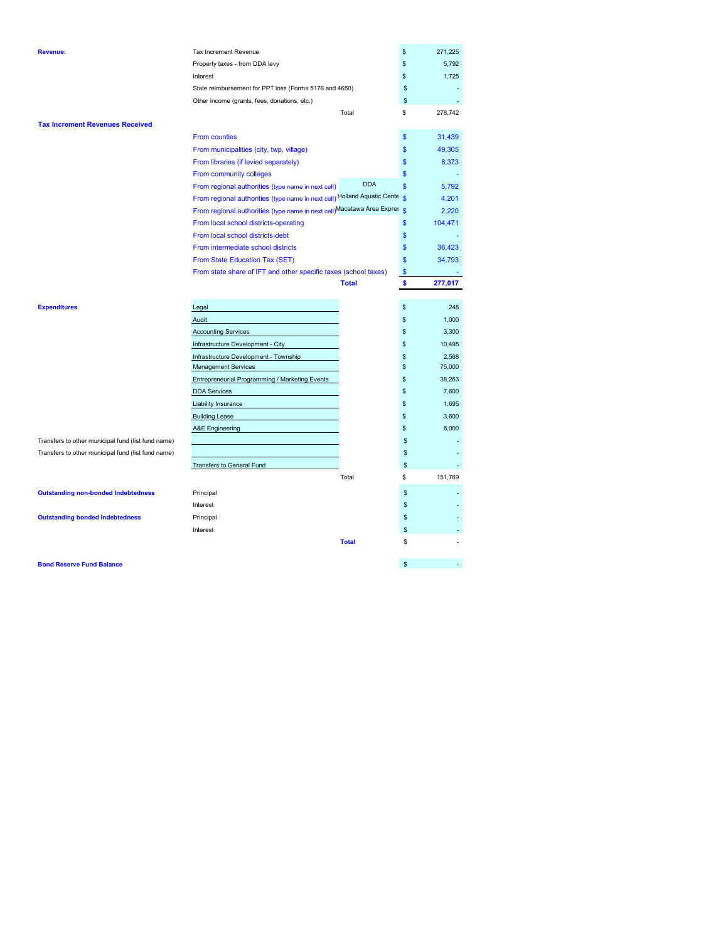| <b>Revenue:</b>                                    | Tax Increment Revenue                                                     |                    | \$            | 271,225 |
|----------------------------------------------------|---------------------------------------------------------------------------|--------------------|---------------|---------|
|                                                    | Property taxes - from DDA levy                                            |                    | \$            | 5,792   |
|                                                    | Interest                                                                  |                    | \$            | 1,725   |
|                                                    | State reimbursement for PPT loss (Forms 5176 and 4650)                    |                    | \$            |         |
|                                                    | Other income (grants, fees, donations, etc.)                              |                    | \$            |         |
|                                                    | Total                                                                     |                    | \$            | 278,742 |
| <b>Tax Increment Revenues Received</b>             |                                                                           |                    |               |         |
|                                                    | <b>From counties</b>                                                      |                    | \$            | 31,439  |
|                                                    | From municipalities (city, twp, village)                                  |                    | \$            | 49,305  |
|                                                    | From libraries (if levied separately)                                     |                    | \$            | 8,373   |
|                                                    | From community colleges                                                   |                    | \$            |         |
|                                                    | From regional authorities (type name in next cell)                        | <b>DDA</b>         | \$            | 5,792   |
|                                                    | From regional authorities (type name in next cell) Holland Aquatic Cente  | $\hat{\mathbf{S}}$ |               | 4,201   |
|                                                    | From regional authorities (type name in next cell)Macatawa Area Expres \$ |                    |               | 2,220   |
|                                                    | From local school districts-operating                                     |                    | \$            | 104,471 |
|                                                    | From local school districts-debt                                          |                    | \$            |         |
|                                                    | From intermediate school districts                                        |                    | \$            | 36,423  |
|                                                    | From State Education Tax (SET)                                            |                    | \$            | 34,793  |
|                                                    | From state share of IFT and other specific taxes (school taxes)           |                    | $\mathsf{\$}$ |         |
|                                                    | <b>Total</b>                                                              |                    | \$            | 277,017 |
|                                                    |                                                                           |                    |               |         |
| <b>Expenditures</b>                                | Legal                                                                     | \$                 |               | 248     |
|                                                    | Audit                                                                     | \$                 |               | 1,000   |
|                                                    | <b>Accounting Services</b>                                                | \$                 |               | 3,300   |
|                                                    | Infrastructure Development - City                                         |                    | \$            | 10,495  |
|                                                    | Infrastructure Development - Township                                     | \$                 |               | 2,568   |
|                                                    | <b>Management Services</b>                                                | \$                 |               | 75,000  |
|                                                    | Entrepreneurial Programming / Marketing Events                            |                    | \$            | 38,263  |
|                                                    | <b>DDA Services</b>                                                       | \$                 |               | 7,600   |
|                                                    | Liability Insurance                                                       | \$                 |               | 1,695   |
|                                                    | <b>Building Lease</b>                                                     |                    | \$            | 3,600   |
|                                                    | A&E Engineering                                                           |                    | \$            | 8,000   |
| Transfers to other municipal fund (list fund name) |                                                                           |                    | \$            |         |
| Transfers to other municipal fund (list fund name) |                                                                           |                    | \$            |         |
|                                                    | Transfers to General Fund                                                 |                    | \$            |         |
|                                                    | Total                                                                     |                    | \$            | 151,769 |
| <b>Outstanding non-bonded Indebtedness</b>         | Principal                                                                 |                    | \$            |         |
|                                                    | Interest                                                                  |                    | \$            |         |
| <b>Outstanding bonded Indebtedness</b>             | Principal                                                                 |                    | \$            |         |
|                                                    | Interest                                                                  |                    | \$            |         |
|                                                    | <b>Total</b>                                                              |                    | S             |         |
|                                                    |                                                                           |                    |               |         |
| <b>Bond Reserve Fund Balance</b>                   |                                                                           |                    | \$            |         |